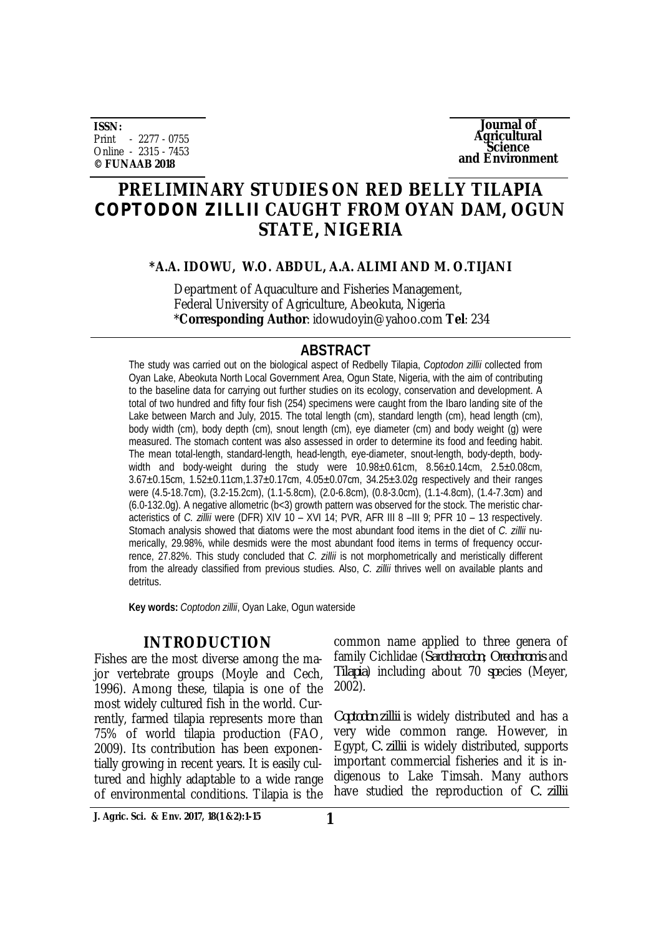**ISSN:** Print - 2277 - 0755 Online - 2315 - 7453 **© FUNAAB 2018**

**Journal of Agricultural Science and Environment**

## **PRELIMINARY STUDIES ON RED BELLY TILAPIA**  *COPTODON ZILLII* **CAUGHT FROM OYAN DAM, OGUN STATE, NIGERIA**

**\*A.A. IDOWU, W.O. ABDUL, A.A. ALIMI AND M. O.TIJANI**

Department of Aquaculture and Fisheries Management, Federal University of Agriculture, Abeokuta, Nigeria \***Corresponding Author**: [idowudoyin@yahoo.com](mailto:idowudoyin@yahoo.com) **Tel**: 234

## **ABSTRACT**

The study was carried out on the biological aspect of Redbelly Tilapia, *Coptodon zillii* collected from Oyan Lake, Abeokuta North Local Government Area, Ogun State, Nigeria, with the aim of contributing to the baseline data for carrying out further studies on its ecology, conservation and development. A total of two hundred and fifty four fish (254) *s*pecimens were caught from the Ibaro landing site of the Lake between March and July, 2015. The total length (cm), standard length (cm), head length (cm), body width (cm), body depth (cm), snout length (cm), eye diameter (cm) and body weight (g) were measured. The stomach content was also assessed in order to determine its food and feeding habit. The mean total-length, standard-length, head-length, eye-diameter, snout-length, body-depth, bodywidth and body-weight during the study were  $10.98 \pm 0.61$ cm,  $8.56 \pm 0.14$ cm,  $2.5 \pm 0.08$ cm, 3.67±0.15cm, 1.52±0.11cm,1.37±0.17cm, 4.05±0.07cm, 34.25±3.02g respectively and their ranges were (4.5-18.7cm), (3.2-15.2cm), (1.1-5.8cm), (2.0-6.8cm), (0.8-3.0cm), (1.1-4.8cm), (1.4-7.3cm) and (6.0-132.0g). A negative allometric (b<3) growth pattern was observed for the stock. The meristic characteristics of *C. zillii* were (DFR) XIV 10 – XVI 14; PVR, AFR III 8 –III 9; PFR 10 – 13 re*s*pectively. Stomach analysis showed that diatoms were the most abundant food items in the diet of *C. zillii* numerically, 29.98%, while desmids were the most abundant food items in terms of frequency occurrence, 27.82%. This study concluded that *C. zillii* is not morphometrically and meristically different from the already classified from previous studies. Also, *C. zillii* thrives well on available plants and detritus.

**Key words:** *Coptodon zillii*, Oyan Lake, Ogun waterside

## **INTRODUCTION**

Fishes are the most diverse among the major vertebrate groups (Moyle and Cech, 1996). Among these, tilapia is one of the most widely cultured fish in the world. Currently, farmed tilapia represents more than 75% of world tilapia production (FAO, 2009). Its contribution has been exponentially growing in recent years. It is easily cultured and highly adaptable to a wide range of environmental conditions. Tilapia is the common name applied to three genera of family Cichlidae (*Sarotherodon*; *Oreochromis* and *Tilapia*) including about 70 *sp*ecies (Meyer, 2002).

*Coptodon zillii* is widely distributed and has a very wide common range. However, in Egypt, *C. zillii* is widely distributed, supports important commercial fisheries and it is indigenous to Lake Timsah. Many authors have studied the reproduction of *C. zillii*

**J. Agric. Sci. & Env. 2017, 18(1 &2):1-15 1**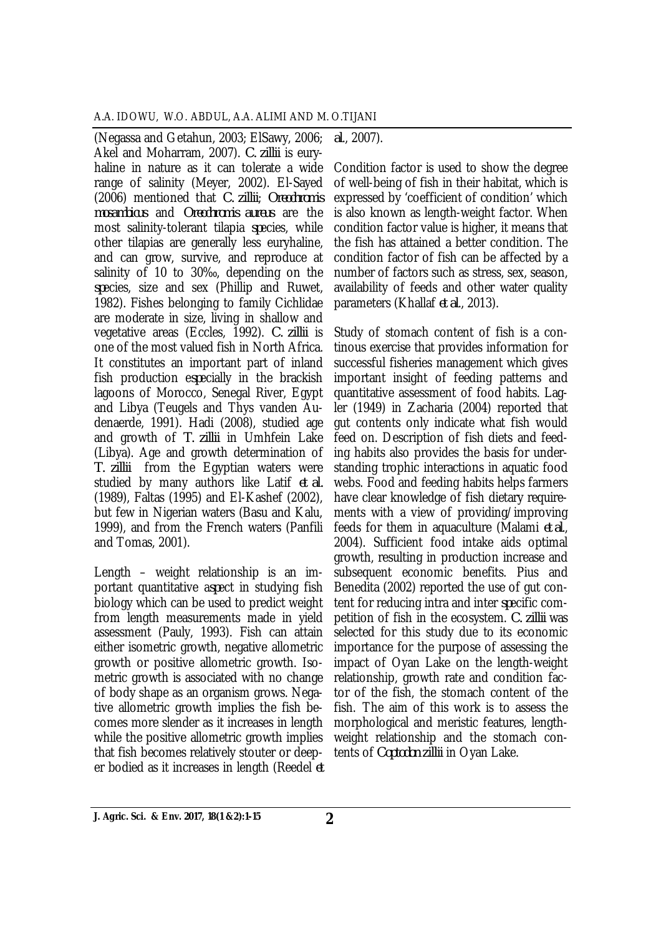(Negassa and Getahun, 2003; ElSawy, 2006; Akel and Moharram, 2007). *C. zillii* is euryhaline in nature as it can tolerate a wide range of salinity (Meyer, 2002). El-Sayed (2006) mentioned that *C. zillii*; *Oreochromis mosambicus* and *Oreochromis aureus* are the most salinity-tolerant tilapia *sp*ecies, while other tilapias are generally less euryhaline, and can grow, survive, and reproduce at salinity of 10 to 30‰, depending on the *sp*ecies, size and sex (Phillip and Ruwet, 1982). Fishes belonging to family Cichlidae are moderate in size, living in shallow and vegetative areas (Eccles, 1992). *C. zillii* is one of the most valued fish in North Africa. It constitutes an important part of inland fish production e*sp*ecially in the brackish lagoons of Morocco, Senegal River, Egypt and Libya (Teugels and Thys vanden Audenaerde, 1991). Hadi (2008), studied age and growth of *T. zillii* in Umhfein Lake (Libya). Age and growth determination of *T. zillii* from the Egyptian waters were studied by many authors like Latif *et al.* (1989), Faltas (1995) and El-Kashef (2002), but few in Nigerian waters (Basu and Kalu, 1999), and from the French waters (Panfili and Tomas, 2001).

Length – weight relationship is an important quantitative a*sp*ect in studying fish biology which can be used to predict weight from length measurements made in yield assessment (Pauly, 1993). Fish can attain either isometric growth, negative allometric growth or positive allometric growth. Isometric growth is associated with no change of body shape as an organism grows. Negative allometric growth implies the fish becomes more slender as it increases in length while the positive allometric growth implies that fish becomes relatively stouter or deeper bodied as it increases in length (Reedel *et* 

*al*., 2007).

Condition factor is used to show the degree of well-being of fish in their habitat, which is expressed by 'coefficient of condition' which is also known as length-weight factor. When condition factor value is higher, it means that the fish has attained a better condition. The condition factor of fish can be affected by a number of factors such as stress, sex, season, availability of feeds and other water quality parameters (Khallaf *et al*., 2013).

Study of stomach content of fish is a continous exercise that provides information for successful fisheries management which gives important insight of feeding patterns and quantitative assessment of food habits. Lagler (1949) in Zacharia (2004) reported that gut contents only indicate what fish would feed on. Description of fish diets and feeding habits also provides the basis for understanding trophic interactions in aquatic food webs. Food and feeding habits helps farmers have clear knowledge of fish dietary requirements with a view of providing/improving feeds for them in aquaculture (Malami *et al*., 2004). Sufficient food intake aids optimal growth, resulting in production increase and subsequent economic benefits. Pius and Benedita (2002) reported the use of gut content for reducing intra and inter *sp*ecific competition of fish in the ecosystem. *C. zillii* was selected for this study due to its economic importance for the purpose of assessing the impact of Oyan Lake on the length-weight relationship, growth rate and condition factor of the fish, the stomach content of the fish. The aim of this work is to assess the morphological and meristic features, lengthweight relationship and the stomach contents of *Coptodon zillii* in Oyan Lake.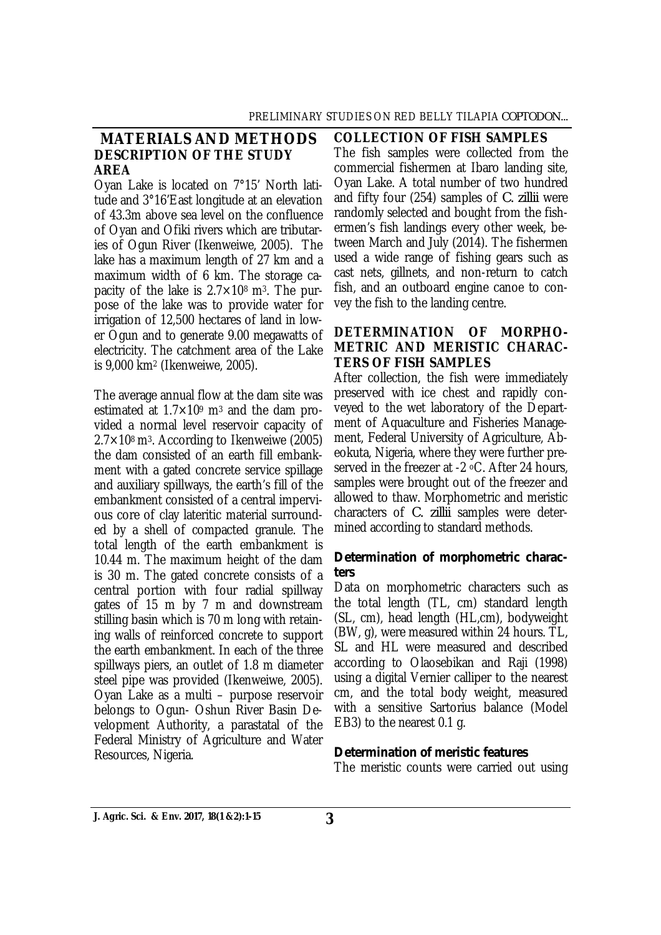## **MATERIALS AND METHODS DESCRIPTION OF THE STUDY AREA**

Oyan Lake is located on 7°15' North latitude and 3°16'East longitude at an elevation of 43.3m above sea level on the confluence of Oyan and Ofiki rivers which are tributaries of Ogun River (Ikenweiwe, 2005). The lake has a maximum length of 27 km and a maximum width of 6 km. The storage capacity of the lake is  $2.7 \times 10^8$  m<sup>3</sup>. The purpose of the lake was to provide water for irrigation of 12,500 hectares of land in lower Ogun and to generate 9.00 megawatts of electricity. The catchment area of the Lake is 9,000 km<sup>2</sup> (Ikenweiwe, 2005).

The average annual flow at the dam site was estimated at  $1.7 \times 10^9$  m<sup>3</sup> and the dam provided a normal level reservoir capacity of  $2.7\times10^8$  m<sup>3</sup>. According to Ikenweiwe (2005) the dam consisted of an earth fill embankment with a gated concrete service spillage and auxiliary spillways, the earth's fill of the embankment consisted of a central impervious core of clay lateritic material surrounded by a shell of compacted granule. The total length of the earth embankment is 10.44 m. The maximum height of the dam is 30 m. The gated concrete consists of a central portion with four radial spillway gates of 15 m by 7 m and downstream stilling basin which is 70 m long with retaining walls of reinforced concrete to support the earth embankment. In each of the three spillways piers, an outlet of 1.8 m diameter steel pipe was provided (Ikenweiwe, 2005). Oyan Lake as a multi – purpose reservoir belongs to Ogun- Oshun River Basin Development Authority, a parastatal of the Federal Ministry of Agriculture and Water Resources, Nigeria.

#### **COLLECTION OF FISH SAMPLES**

The fish samples were collected from the commercial fishermen at Ibaro landing site, Oyan Lake. A total number of two hundred and fifty four (254) samples of *C. zillii* were randomly selected and bought from the fishermen's fish landings every other week, between March and July (2014). The fishermen used a wide range of fishing gears such as cast nets, gillnets, and non-return to catch fish, and an outboard engine canoe to convey the fish to the landing centre.

## **DETERMINATION OF MORPHO-METRIC AND MERISTIC CHARAC-TERS OF FISH SAMPLES**

After collection, the fish were immediately preserved with ice chest and rapidly conveyed to the wet laboratory of the Department of Aquaculture and Fisheries Management, Federal University of Agriculture, Abeokuta, Nigeria, where they were further preserved in the freezer at -2 °C. After 24 hours, samples were brought out of the freezer and allowed to thaw. Morphometric and meristic characters of *C. zillii* samples were determined according to standard methods.

## *Determination of morphometric characters*

Data on morphometric characters such as the total length (TL, cm) standard length (SL, cm), head length (HL,cm), bodyweight (BW, g), were measured within 24 hours. TL, SL and HL were measured and described according to Olaosebikan and Raji (1998) using a digital Vernier calliper to the nearest cm, and the total body weight, measured with a sensitive Sartorius balance (Model EB3) to the nearest 0.1 g.

## *Determination of meristic features*

The meristic counts were carried out using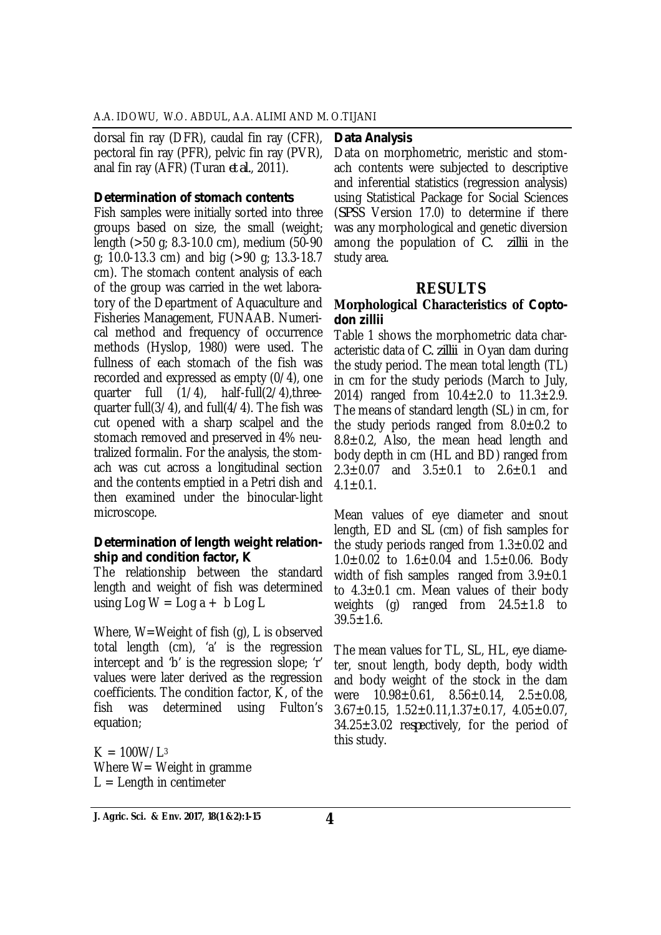dorsal fin ray (DFR), caudal fin ray (CFR), pectoral fin ray (PFR), pelvic fin ray (PVR), anal fin ray (AFR) (Turan *et al.*, 2011).

#### *Determination of stomach contents*

Fish samples were initially sorted into three groups based on size, the small (weight; length (>50 g; 8.3-10.0 cm), medium (50-90 g; 10.0-13.3 cm) and big (>90 g; 13.3-18.7 cm). The stomach content analysis of each of the group was carried in the wet laboratory of the Department of Aquaculture and Fisheries Management, FUNAAB. Numerical method and frequency of occurrence methods (Hyslop, 1980) were used. The fullness of each stomach of the fish was recorded and expressed as empty (0/4), one quarter full (1/4), half-full(2/4),threequarter full(3/4), and full(4/4). The fish was cut opened with a sharp scalpel and the stomach removed and preserved in 4% neutralized formalin. For the analysis, the stomach was cut across a longitudinal section and the contents emptied in a Petri dish and then examined under the binocular-light microscope.

#### *Determination of length weight relationship and condition factor, K*

The relationship between the standard length and weight of fish was determined using  $\text{Log } W = \text{Log } a + b \text{ Log } L$ 

Where, W=Weight of fish (g), L is observed total length (cm), 'a' is the regression intercept and 'b' is the regression slope; 'r' values were later derived as the regression coefficients. The condition factor, K, of the fish was determined using Fulton's equation;

 $K = 100W/L<sup>3</sup>$ Where  $W=$  Weight in gramme  $L =$  Length in centimeter

#### *Data Analysis*

Data on morphometric, meristic and stomach contents were subjected to descriptive and inferential statistics (regression analysis) using Statistical Package for Social Sciences (*SP*SS Version 17.0) to determine if there was any morphological and genetic diversion among the population of *C. zillii* in the study area.

## **RESULTS**

#### **Morphological Characteristics of** *Coptodon zillii*

Table 1 shows the morphometric data characteristic data of *C. zillii* in Oyan dam during the study period. The mean total length (TL) in cm for the study periods (March to July, 2014) ranged from  $10.4 \pm 2.0$  to  $11.3 \pm 2.9$ . The means of standard length (SL) in cm, for the study periods ranged from  $8.0 \pm 0.2$  to  $8.8 \pm 0.2$ , Also, the mean head length and body depth in cm (HL and BD) ranged from  $2.3 \pm 0.07$  and  $3.5 \pm 0.1$  to  $2.6 \pm 0.1$  and  $4.1 \pm 0.1$ .

Mean values of eye diameter and snout length, ED and SL (cm) of fish samples for the study periods ranged from  $1.3\pm0.02$  and  $1.0\pm0.02$  to  $1.6\pm0.04$  and  $1.5\pm0.06$ . Body width of fish samples ranged from  $3.9 \pm 0.1$ to  $4.3 \pm 0.1$  cm. Mean values of their body weights (g) ranged from  $24.5 \pm 1.8$  to  $39.5 \pm 1.6$ .

The mean values for TL, SL, HL, eye diameter, snout length, body depth, body width and body weight of the stock in the dam were  $10.98 \pm 0.61$ ,  $8.56 \pm 0.14$ ,  $2.5 \pm 0.08$ ,  $3.67 \pm 0.15$ ,  $1.52 \pm 0.11$ ,  $1.37 \pm 0.17$ ,  $4.05 \pm 0.07$ . 34.25±3.02 re*sp*ectively, for the period of this study.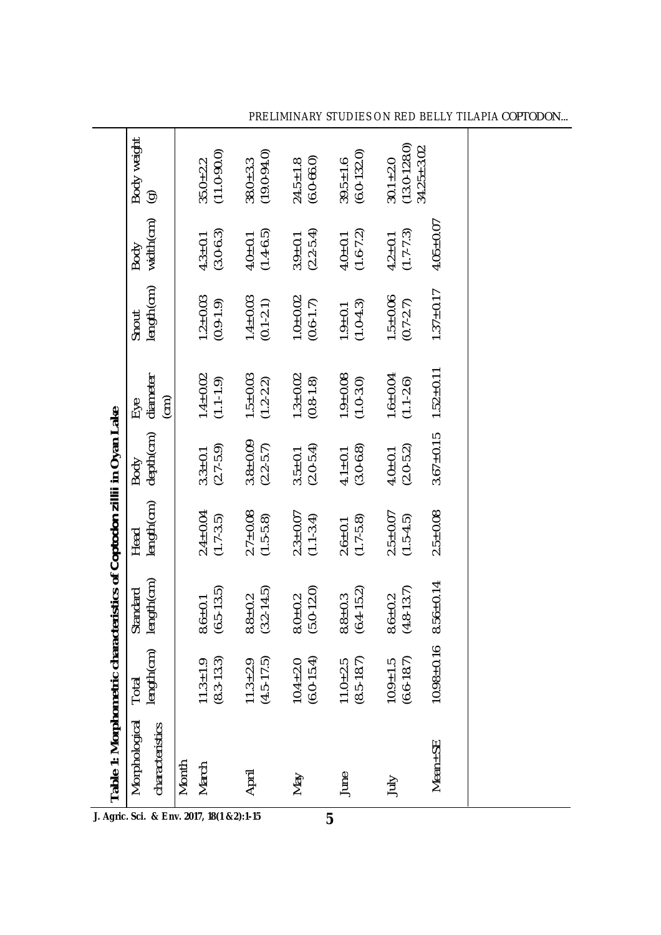|                                     | Table 1: Morphometric characteristics of Coptodon zillii in Oyan Lake |                                  |                               |                               |                              |                                 |                                 |                              |                                       |
|-------------------------------------|-----------------------------------------------------------------------|----------------------------------|-------------------------------|-------------------------------|------------------------------|---------------------------------|---------------------------------|------------------------------|---------------------------------------|
|                                     | Morphological<br>characteristics                                      | length(cm)<br>Total              | ength(cm)<br>Standard         | length(cm)<br>Head            | depth(cm)<br>Body            | diameter<br>(cm)<br>Eye         | length(cm)<br>Snout             | width(cm)<br>Body            | Body weight<br>$\widehat{\mathbf{e}}$ |
| Agric Sci & Eny 2017 18(1 & 2)-1.15 | Month<br>March                                                        | $11.3 \pm 1.9$<br>$(8.3 - 13.3)$ | $(6.5 - 13.5)$<br>$3.6 + 0.1$ | $2.4 \pm 0.04$<br>(1.7-3.5)   | $3.3 \pm 0.1$<br>(2.7-5.9)   | $1.4 \pm 0.02$<br>(1.1-1.9)     | $1.2 \pm 0.03$<br>$(0.9 - 1.9)$ | $4.3 \pm 0.1$<br>(3.0-6.3)   | $(11.0 - 90.0)$<br>$35.0 + 2.2$       |
|                                     | April                                                                 | $11.3 \pm 2.9$<br>(4.5-17.5)     | $(3.2 - 14.5)$<br>$8.8 + 0.2$ | $2.7 \pm 0.08$<br>(1.5-5.8)   | $3.8 \pm 0.09$<br>(2.2-5.7)  | $1.5 \pm 0.03$<br>(1.2-2.2)     | $1.4 \pm 0.03$<br>(0.1-2.1)     | $4.0 \pm 0.1$<br>(1.4-6.5)   | $38.0 + 3.3$<br>(19.0-94.0)           |
|                                     | <b>May</b>                                                            | $(6.0 - 15.4)$<br>$10.4 \pm 2.0$ | $(5.0 - 12.0)$<br>$8.0 + 0.2$ | $2.3 + 0.07$<br>$(1.1 - 3.4)$ | $(2.0 - 5.4)$<br>$3.5 + 0.1$ | $1.3 + 0.02$<br>$(0.8 - 1.8)$   | $1.0 + 0.02$<br>$(0.6 - 1.7)$   | $3.9 \pm 0.1$<br>(2.2-5.4)   | $(6.0 - 66.0)$<br>$24.5 \pm 1.8$      |
|                                     | June                                                                  | $(8.5 - 18.7)$<br>$11.0 + 2.5$   | $(6.4 - 15.2)$<br>$3.8 + 0.3$ | $2.6 \pm 0.1$<br>(1.7-5.8)    | $4.1 \pm 0.1$<br>(3.0-6.8)   | $1.9 \pm 0.08$<br>$(1.0 - 3.0)$ | $(1.0 - 4.3)$<br>$1.9 + 0.1$    | $(1.6 - 7.2)$<br>$4.0 + 0.1$ | $(6.0 - 132.0)$<br>$39.5 \pm 1.6$     |
|                                     | July                                                                  | $10.9 \pm 1.5$<br>(6.6-18.7)     | $(4.8 - 13.7)$<br>$8.6 + 0.2$ | $2.5 \pm 0.07$<br>(1.5-4.5)   | $4.0 \pm 0.1$<br>(2.0-5.2)   | $1.6 \pm 0.04$<br>(1.1-2.6)     | $1.5 \pm 0.06$<br>(0.7-2.7)     | $4.2 \pm 0.1$<br>(1.7-7.3)   | $30.1 \pm 2.0$<br>(13.0-128.0)        |
|                                     | Mean±SE                                                               | $10.98 + 0.16$                   | $8.56 \pm 0.14$               | $2.5 + 0.08$                  | $3.67 + 0.15$                | $1.52 \pm 0.11$                 | $1.37 + 0.17$                   | $4.05 \pm 0.07$              | $34.25 \pm 3.02$                      |
|                                     |                                                                       |                                  |                               |                               |                              |                                 |                                 |                              |                                       |
|                                     |                                                                       |                                  |                               |                               |                              |                                 |                                 |                              |                                       |

**J. Agric. Sci. & Env. 2017, 18(1 &2):1-15**

**5**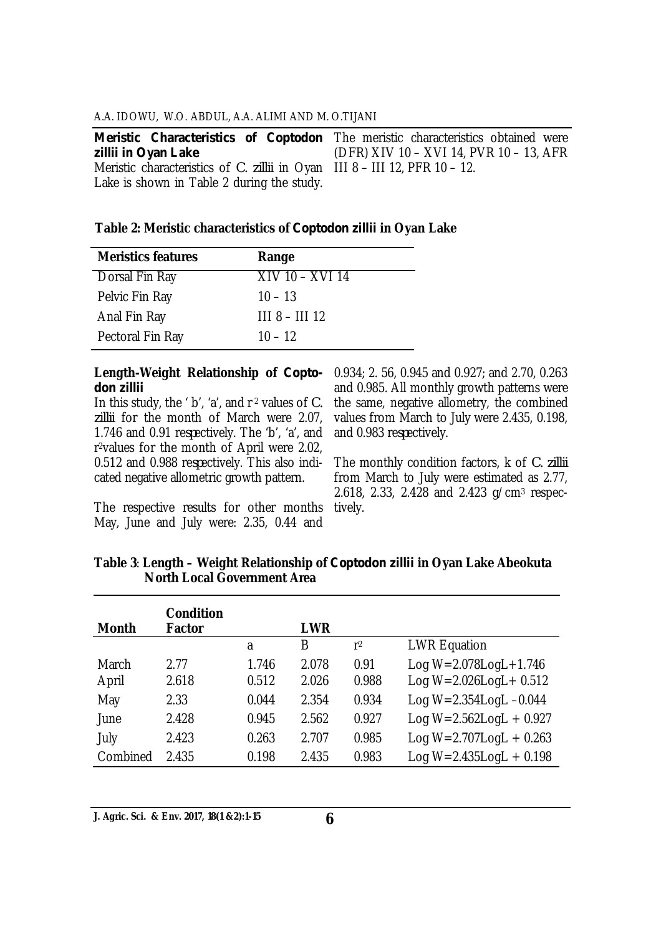*Meristic Characteristics of Coptodon*  The meristic characteristics obtained were *zillii in Oyan Lake* Meristic characteristics of *C. zillii* in Oyan III 8 – III 12, PFR 10 – 12. Lake is shown in Table 2 during the study. (DFR) XIV 10 – XVI 14, PVR 10 – 13, AFR

#### **Table 2: Meristic characteristics of** *Coptodon zillii* **in Oyan Lake**

| <b>Meristics features</b> | Range                         |
|---------------------------|-------------------------------|
| Dorsal Fin Ray            | $\overline{X}$ IV 10 – XVI 14 |
| Pelvic Fin Ray            | $10 - 13$                     |
| Anal Fin Ray              | $1118 - 11112$                |
| Pectoral Fin Ray          | $10 - 12$                     |

# *don zillii*

In this study, the ' b', 'a', and r <sup>2</sup> values of *C. zillii* for the month of March were 2.07, 1.746 and 0.91 re*sp*ectively. The 'b', 'a', and r <sup>2</sup>values for the month of April were 2.02, 0.512 and 0.988 re*sp*ectively. This also indicated negative allometric growth pattern.

The respective results for other months May, June and July were: 2.35, 0.44 and

**Length-Weight Relationship of** *Copto-*0.934; 2. 56, 0.945 and 0.927; and 2.70, 0.263 and 0.985. All monthly growth patterns were the same, negative allometry, the combined values from March to July were 2.435, 0.198, and 0.983 re*sp*ectively.

> The monthly condition factors, k of *C. zillii* from March to July were estimated as 2.77, 2.618, 2.33, 2.428 and 2.423 g/cm<sup>3</sup> respectively.

| <b>Month</b> | <b>Condition</b><br><b>Factor</b> |       | <b>LWR</b> |                |                                 |
|--------------|-----------------------------------|-------|------------|----------------|---------------------------------|
|              |                                   | a     | B          | r <sub>2</sub> | <b>LWR Equation</b>             |
| March        | 2.77                              | 1.746 | 2.078      | 0.91           | Log $W = 2.078$ Log L $+1.746$  |
| April        | 2.618                             | 0.512 | 2.026      | 0.988          | Log $W = 2.026$ LogL + 0.512    |
| May          | 2.33                              | 0.044 | 2.354      | 0.934          | Log $W = 2.354$ Log $L - 0.044$ |
| June         | 2.428                             | 0.945 | 2.562      | 0.927          | Log $W = 2.562$ LogL + 0.927    |
| July         | 2.423                             | 0.263 | 2.707      | 0.985          | Log $W = 2.707$ LogL + 0.263    |
| Combined     | 2.435                             | 0.198 | 2.435      | 0.983          | Log $W = 2.435$ LogL + 0.198    |

**Table 3**: **Length – Weight Relationship of** *Coptodon zillii* **in Oyan Lake Abeokuta North Local Government Area**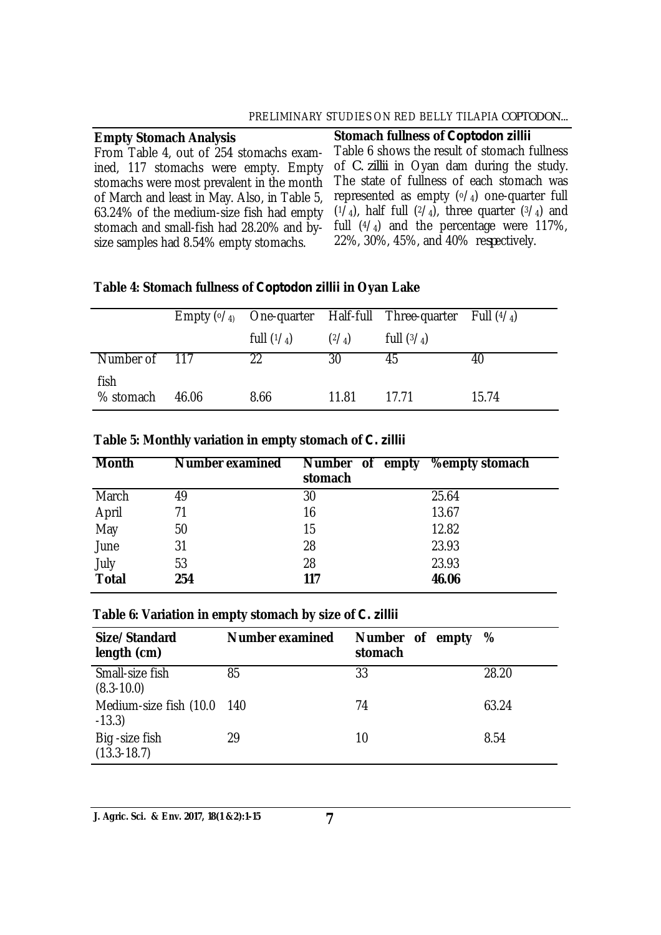| <b>Empty Stomach Analysis</b>                | Stomach fullness of Coptodon zillii                     |
|----------------------------------------------|---------------------------------------------------------|
| From Table 4, out of 254 stomachs exam-      | Table 6 shows the result of stomach fullness            |
| ined, 117 stomachs were empty. Empty         | of <i>C. zillii</i> in Oyan dam during the study.       |
| stomachs were most prevalent in the month    | The state of fullness of each stomach was               |
| of March and least in May. Also, in Table 5, | represented as empty $(0/4)$ one-quarter full           |
| 63.24% of the medium-size fish had empty     | $(1/4)$ , half full $(2/4)$ , three quarter $(3/4)$ and |
| stomach and small-fish had 28.20% and by-    | full $(4/4)$ and the percentage were 117%,              |
| size samples had 8.54% empty stomachs.       | 22%, 30%, 45%, and 40% respectively.                    |

## **Table 4: Stomach fullness of** *Coptodon zillii* **in Oyan Lake**

|                   |       |              |                | Empty $({\circ}/_4)$ One-quarter Half-full Three-quarter Full $({}^4/_4)$ |       |
|-------------------|-------|--------------|----------------|---------------------------------------------------------------------------|-------|
|                   |       | full $(1/4)$ | $(2/\text{A})$ | full $(3/\sqrt{4})$                                                       |       |
| Number of 117     |       | 22           | 30             | 45                                                                        | 40    |
| fish<br>% stomach | 46.06 | 8.66         | 11.81          | 17.71                                                                     | 15.74 |

| <b>Month</b> | <b>Number examined</b> | Number of empty<br>stomach | <b>%empty stomach</b> |
|--------------|------------------------|----------------------------|-----------------------|
| March        | 49                     | 30                         | 25.64                 |
| April        | 71                     | 16                         | 13.67                 |
| May          | 50                     | 15                         | 12.82                 |
| June         | 31                     | 28                         | 23.93                 |
| July         | 53                     | 28                         | 23.93                 |
| <b>Total</b> | 254                    | 117                        | 46.06                 |

## **Table 5: Monthly variation in empty stomach of** *C. zillii*

#### **Table 6: Variation in empty stomach by size of** *C. zillii*

| Size/Standard<br>length (cm)           | <b>Number examined</b> | Number of empty<br>stomach | %     |
|----------------------------------------|------------------------|----------------------------|-------|
| Small-size fish<br>$(8.3 - 10.0)$      | 85                     | 33                         | 28.20 |
| Medium-size fish (10.0 140<br>$-13.3)$ |                        | 74                         | 63.24 |
| Big - size fish<br>$(13.3 - 18.7)$     | 29                     | 10                         | 8.54  |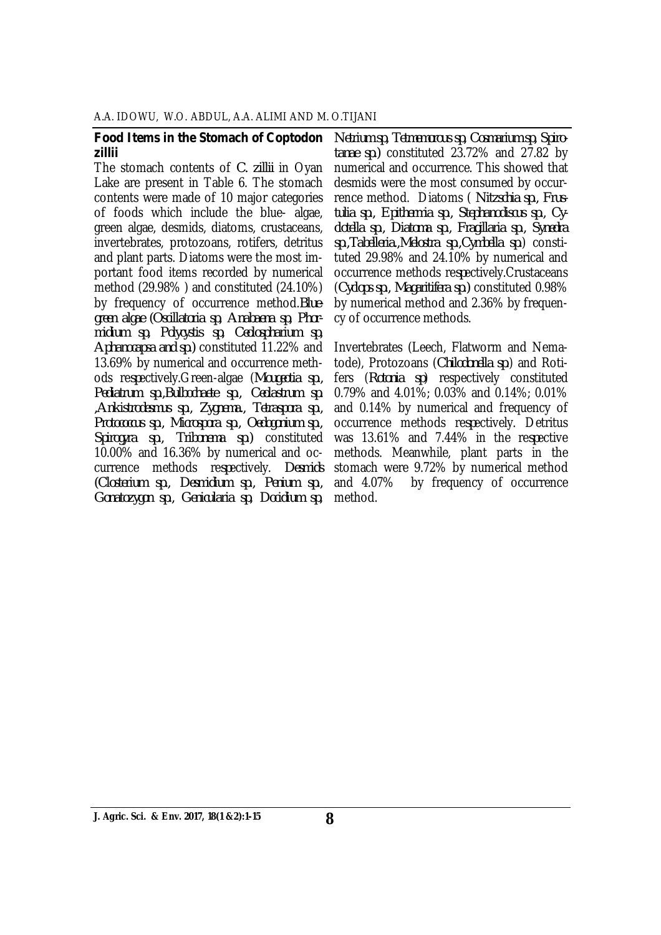#### *Food Items in the Stomach of Coptodon zillii*

The stomach contents of *C. zillii* in Oyan Lake are present in Table 6. The stomach contents were made of 10 major categories of foods which include the blue- algae, green algae, desmids, diatoms, crustaceans, invertebrates, protozoans, rotifers, detritus and plant parts. Diatoms were the most important food items recorded by numerical method (29.98% ) and constituted (24.10%) by frequency of occurrence method.*Bluegreen algae (Oscillatoria sp, Anabaena sp, Phormidium sp, Polycystis sp, Ceolospharium sp, Aphanocapsa and sp.)* constituted 11.22% and 13.69% by numerical and occurrence methods re*sp*ectively.Green-algae (*Mougeotia sp., Pediatrum sp.,Bulbochaete sp., Ceolastrum sp. ,Ankistrodesmus sp., Zygnema., Tetraspora sp., Protococcus sp., Microspora sp., Oedogonium sp., Spirogyra sp., Tribonema sp.)* constituted 10.00% and 16.36% by numerical and occurrence methods re*sp*ectively. *Desmids (Closterium sp., Desmidium sp., Penium sp., Gonatozygon sp., Genicularia sp, Docidium sp,* 

*Netrium sp, Tetmemorous sp, Cosmarium sp, Spirotanae sp.)* constituted 23.72% and 27.82 by numerical and occurrence. This showed that desmids were the most consumed by occurrence method. Diatoms ( *Nitzschia sp., Frustulia sp., Epithermia sp., Stephanodiscus sp., Cyclotella sp., Diatoma sp., Fragillaria sp., Synedra sp.,Tabelleria.,Melostra sp.,Cymbella sp.*) constituted 29.98% and 24.10% by numerical and occurrence methods re*sp*ectively.Crustaceans (*Cyclops sp., Magaritifera sp.)* constituted 0.98% by numerical method and 2.36% by frequency of occurrence methods.

Invertebrates (Leech, Flatworm and Nematode), Protozoans (*Chilodonella sp*.) and Rotifers (*Rotonia sp*) respectively constituted 0.79% and 4.01%; 0.03% and 0.14%; 0.01% and 0.14% by numerical and frequency of occurrence methods re*sp*ectively. Detritus was 13.61% and 7.44% in the re*sp*ective methods. Meanwhile, plant parts in the stomach were 9.72% by numerical method and 4.07% by frequency of occurrence method.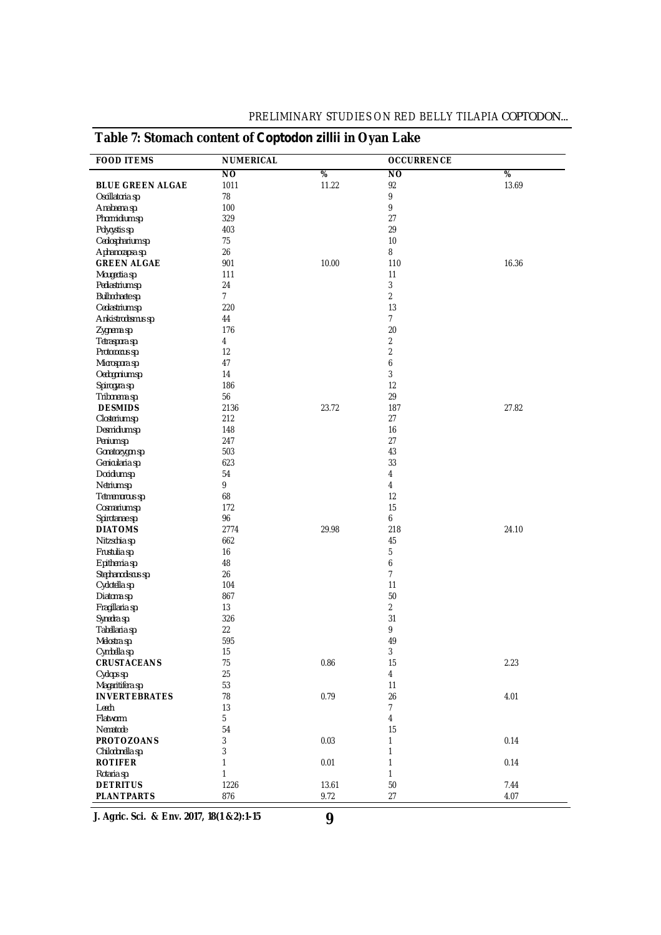| <b>FOOD ITEMS</b>       | <b>NUMERICAL</b> |                 | <b>OCCURRENCE</b> |                 |
|-------------------------|------------------|-----------------|-------------------|-----------------|
|                         | N <sub>O</sub>   | $\overline{\%}$ | $\overline{NO}$   | $\overline{\%}$ |
| <b>BLUE GREEN ALGAE</b> | 1011             | 11.22           | 92                | 13.69           |
| Oscillatoria sp.        | 78               |                 | 9                 |                 |
| Anabaena sp.            | 100              |                 | 9                 |                 |
| Phormidium sp.          | 329              |                 | 27                |                 |
| Polycystis sp.          | 403              |                 | 29                |                 |
| Ceolospharium sp.       | 75               |                 | 10                |                 |
| Aphanocapsa sp.         | 26               |                 | 8                 |                 |
| <b>GREEN ALGAE</b>      | 901              | 10.00           | 110               | 16.36           |
| Mougeotia sp.           | 111              |                 | 11                |                 |
| Pediastrium sp.         | 24               |                 | 3                 |                 |
| Bulbochaete sp.         | $7^{\circ}$      |                 | $\overline{2}$    |                 |
| Ceolastrium sp.         | 220              |                 | 13                |                 |
| Ankistrodesmus sp.      | 44               |                 | $\overline{7}$    |                 |
| Zygnema sp.             | 176              |                 | 20                |                 |
|                         |                  |                 | $\overline{2}$    |                 |
| Tetraspora sp.          | 4                |                 | $\overline{2}$    |                 |
| Protococcus sp.         | 12               |                 |                   |                 |
| Microspora sp.          | 47               |                 | 6                 |                 |
| Oedogonium sp.          | 14               |                 | 3                 |                 |
| Spirogyra sp.           | 186              |                 | 12                |                 |
| Tribonema sp.           | 56               |                 | 29                |                 |
| <b>DESMIDS</b>          | 2136             | 23.72           | 187               | 27.82           |
| Closterium sp.          | 212              |                 | 27                |                 |
| Desmidium sp.           | 148              |                 | 16                |                 |
| Penium sp.              | 247              |                 | 27                |                 |
| Gonatozygon sp.         | 503              |                 | 43                |                 |
| Genicularia sp.         | 623              |                 | 33                |                 |
| Docidium sp.            | 54               |                 | 4                 |                 |
| Netrium sp.             | 9                |                 | 4                 |                 |
| Tetmemorous sp.         | 68               |                 | $12 \overline{ }$ |                 |
| Cosmarium sp.           | 172              |                 | 15                |                 |
| Spirotanae sp.          | 96               |                 | 6                 |                 |
| <b>DIATOMS</b>          | 2774             | 29.98           | 218               | 24.10           |
| Nitzschia sp.           | 662              |                 | 45                |                 |
| Frustulia sp.           | 16               |                 | 5                 |                 |
| Epithemia sp.           | 48               |                 | 6                 |                 |
|                         | 26               |                 | $\overline{7}$    |                 |
| Stephanodiscus sp.      |                  |                 | 11                |                 |
| Cyclotella sp.          | 104              |                 |                   |                 |
| Diatoma sp.             | 867              |                 | 50                |                 |
| Fragillaria sp.         | 13               |                 | $\overline{2}$    |                 |
| Synedra sp.             | 326              |                 | 31                |                 |
| Tabellaria sp.          | 22               |                 | 9                 |                 |
| Melostra sp.            | 595              |                 | 49                |                 |
| Cymbella sp.            | 15               |                 | 3                 |                 |
| <b>CRUSTACEANS</b>      | 75               | 0.86            | 15                | 2.23            |
| Cyclops sp.             | 25               |                 | 4                 |                 |
| Magaritifera sp.        | 53               |                 | 11                |                 |
| <b>INVERTEBRATES</b>    | 78               | 0.79            | 26                | 4.01            |
| Leech                   | 13               |                 | $\overline{7}$    |                 |
| Flatworm                | 5                |                 | 4                 |                 |
| Nematode                | 54               |                 | 15                |                 |
| <b>PROTOZOANS</b>       | 3                | 0.03            | 1                 | 0.14            |
| Chilodonella sp.        | 3                |                 | 1                 |                 |
| <b>ROTIFER</b>          | 1                | 0.01            | 1                 | 0.14            |
| Rotaria sp.             | 1                |                 | 1                 |                 |
| <b>DETRITUS</b>         | 1226             | 13.61           | 50                | 7.44            |
| <b>PLANTPARTS</b>       | 876              | 9.72            | 27                | 4.07            |

**J. Agric. Sci. & Env. 2017, 18(1 &2):1-15**

**9**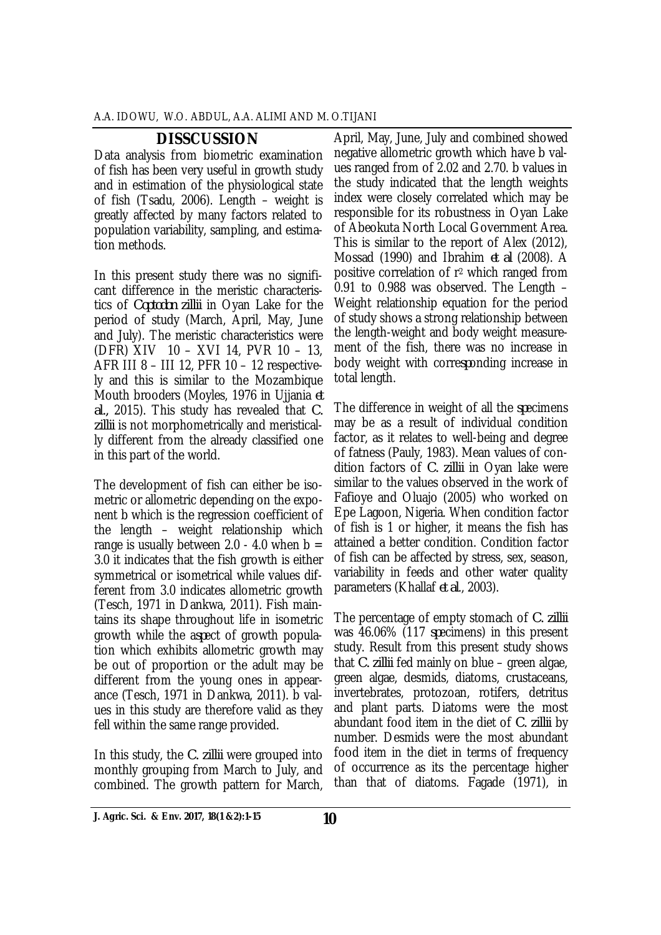## **DISSCUSSION**

Data analysis from biometric examination of fish has been very useful in growth study and in estimation of the physiological state of fish (Tsadu, 2006). Length – weight is greatly affected by many factors related to population variability, sampling, and estimation methods.

In this present study there was no significant difference in the meristic characteristics of *Coptodon zillii* in Oyan Lake for the period of study (March, April, May, June and July). The meristic characteristics were (DFR) XIV 10 – XVI 14, PVR 10 – 13, AFR III 8 – III 12, PFR 10 – 12 respectively and this is similar to the Mozambique Mouth brooders (Moyles, 1976 in Ujjania *et al.,* 2015). This study has revealed that *C. zillii* is not morphometrically and meristically different from the already classified one in this part of the world.

The development of fish can either be isometric or allometric depending on the exponent b which is the regression coefficient of the length – weight relationship which range is usually between 2.0 - 4.0 when  $b =$ 3.0 it indicates that the fish growth is either symmetrical or isometrical while values different from 3.0 indicates allometric growth (Tesch, 1971 in Dankwa, 2011). Fish maintains its shape throughout life in isometric growth while the a*sp*ect of growth population which exhibits allometric growth may be out of proportion or the adult may be different from the young ones in appearance (Tesch, 1971 in Dankwa, 2011). b values in this study are therefore valid as they fell within the same range provided.

In this study, the *C. zillii* were grouped into monthly grouping from March to July, and combined. The growth pattern for March,

April, May, June, July and combined showed negative allometric growth which have b values ranged from of 2.02 and 2.70. b values in the study indicated that the length weights index were closely correlated which may be responsible for its robustness in Oyan Lake of Abeokuta North Local Government Area. This is similar to the report of Alex (2012), Mossad (1990) and Ibrahim *et al* (2008). A positive correlation of r<sup>2</sup> which ranged from 0.91 to 0.988 was observed. The Length – Weight relationship equation for the period of study shows a strong relationship between the length-weight and body weight measurement of the fish, there was no increase in body weight with corre*sp*onding increase in total length.

The difference in weight of all the *sp*ecimens may be as a result of individual condition factor, as it relates to well-being and degree of fatness (Pauly, 1983). Mean values of condition factors of *C. zillii* in Oyan lake were similar to the values observed in the work of Fafioye and Oluajo (2005) who worked on Epe Lagoon, Nigeria. When condition factor of fish is 1 or higher, it means the fish has attained a better condition. Condition factor of fish can be affected by stress, sex, season, variability in feeds and other water quality parameters (Khallaf *et al*., 2003).

The percentage of empty stomach of *C. zillii*  was 46.06% (117 *sp*ecimens) in this present study. Result from this present study shows that *C. zillii* fed mainly on blue – green algae, green algae, desmids, diatoms, crustaceans, invertebrates, protozoan, rotifers, detritus and plant parts. Diatoms were the most abundant food item in the diet of *C. zillii* by number. Desmids were the most abundant food item in the diet in terms of frequency of occurrence as its the percentage higher than that of diatoms. Fagade (1971), in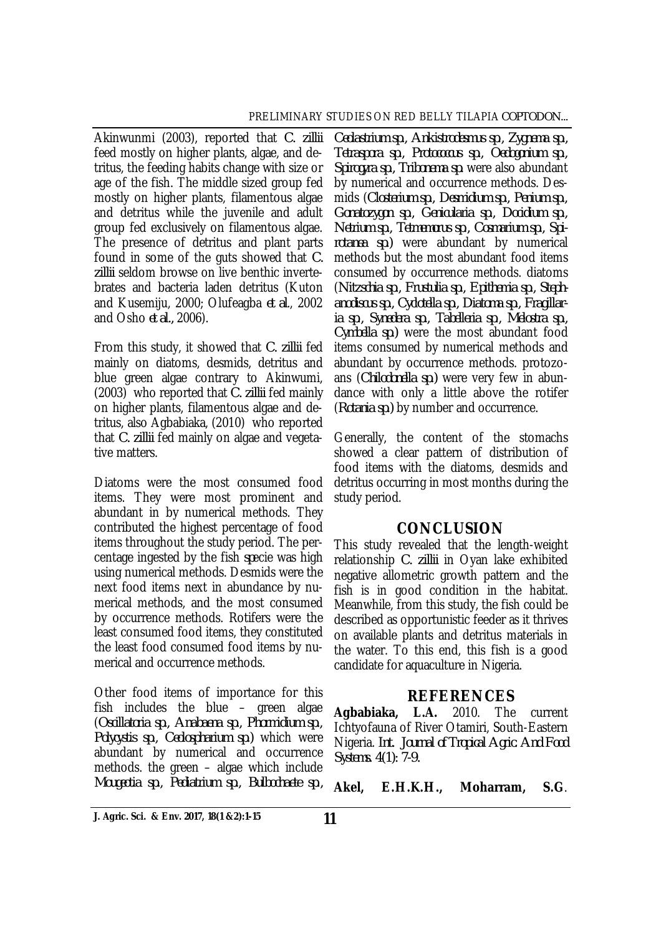Akinwunmi (2003), reported that *C. zillii* feed mostly on higher plants, algae, and detritus, the feeding habits change with size or age of the fish. The middle sized group fed mostly on higher plants, filamentous algae and detritus while the juvenile and adult group fed exclusively on filamentous algae. The presence of detritus and plant parts found in some of the guts showed that *C. zillii* seldom browse on live benthic invertebrates and bacteria laden detritus (Kuton and Kusemiju, 2000; Olufeagba *et al*., 2002 and Osho *et al.,* 2006).

From this study, it showed that *C. zillii* fed mainly on diatoms, desmids, detritus and blue green algae contrary to Akinwumi, (2003) who reported that *C. zillii* fed mainly on higher plants, filamentous algae and detritus, also Agbabiaka, (2010) who reported that *C. zillii* fed mainly on algae and vegetative matters.

Diatoms were the most consumed food items. They were most prominent and abundant in by numerical methods. They contributed the highest percentage of food items throughout the study period. The percentage ingested by the fish *sp*ecie was high using numerical methods. Desmids were the next food items next in abundance by numerical methods, and the most consumed by occurrence methods. Rotifers were the least consumed food items, they constituted the least food consumed food items by numerical and occurrence methods.

Other food items of importance for this fish includes the blue – green algae (*Oscillatoria sp., Anabaena sp., Phormidium sp., Polycystis sp., Ceolospharium sp.)* which were abundant by numerical and occurrence methods. the green – algae which include *Mougeotia sp., Pediatrium sp., Bulbochaete sp*.*,* 

*Ceolastrium sp., Ankistrodesmus sp*.*, Zygnema sp., Tetraspora sp., Protococcus sp., Oedogonium sp., Spirogyra sp., Tribonema sp.* were also abundant by numerical and occurrence methods. Desmids (*Closterium sp., Desmidium sp., Penium sp., Gonatozygon sp., Genicularia sp., Docidium sp., Netrium sp., Tetmemorus sp*.*, Cosmarium sp., Spirotanea sp.)* were abundant by numerical methods but the most abundant food items consumed by occurrence methods. diatoms (*Nitzschia sp., Frustulia sp., Epithemia sp., Stephanodiscus sp., Cyclotella sp., Diatoma sp., Fragillaria sp*.*, Synedera sp., Tabelleria sp*.*, Melostra sp., Cymbella sp.)* were the most abundant food items consumed by numerical methods and abundant by occurrence methods. protozoans (*Chilodonella sp.)* were very few in abundance with only a little above the rotifer (*Rotania sp.)* by number and occurrence.

Generally, the content of the stomachs showed a clear pattern of distribution of food items with the diatoms, desmids and detritus occurring in most months during the study period.

## **CONCLUSION**

This study revealed that the length-weight relationship *C. zillii* in Oyan lake exhibited negative allometric growth pattern and the fish is in good condition in the habitat. Meanwhile, from this study, the fish could be described as opportunistic feeder as it thrives on available plants and detritus materials in the water. To this end, this fish is a good candidate for aquaculture in Nigeria.

## **REFERENCES**

**Agbabiaka, L.A.** 2010. The current Ichtyofauna of River Otamiri, South-Eastern Nigeria. *Int. Journal of Tropical Agric. And Food Systems. 4(1): 7-9.*

**Akel, E.H.K.H., Moharram, S.G**.

**<sup>11</sup> J. Agric. Sci. & Env. 2017, 18(1 &2):1-15**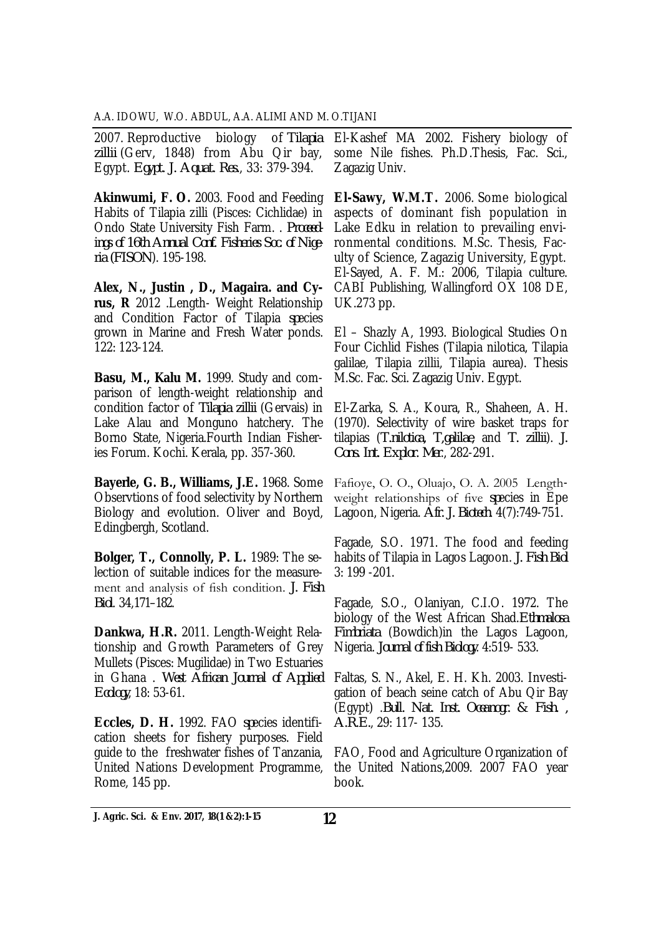2007. Reproductive biology of *Tilapia zillii* (Gerv, 1848) from Abu Qir bay, Egypt. *Egypt. J. Aquat. Res.*, 33: 379-394.

**Akinwumi, F. O.** 2003. Food and Feeding Habits of Tilapia zilli (Pisces: Cichlidae) in Ondo State University Fish Farm. . *Proceedings of 16th Annual Conf. Fisheries Soc. of Nigeria (FISON*). 195-198.

**Alex, N., Justin , D., Magaira. and Cyrus, R** 2012 .Length- Weight Relationship and Condition Factor of Tilapia *sp*ecies grown in Marine and Fresh Water ponds. 122: 123-124.

**Basu, M., Kalu M.** 1999. Study and comparison of length-weight relationship and condition factor of *Tilapia zillii* (Gervais) in Lake Alau and Monguno hatchery. The Borno State, Nigeria.Fourth Indian Fisheries Forum. Kochi. Kerala, pp. 357-360.

**Bayerle, G. B., Williams, J.E.** 1968. Some Observtions of food selectivity by Northern Biology and evolution. Oliver and Boyd, Edingbergh, Scotland.

**Bolger, T., Connolly, P. L.** 1989: The selection of suitable indices for the measurement and analysis of fish condition. *J. Fish Biol*. 34,171–182.

**Dankwa, H.R.** 2011. Length-Weight Relationship and Growth Parameters of Grey Mullets (Pisces: Mugilidae) in Two Estuaries in Ghana . *West African Journal of Applied Ecology*, 18: 53-61.

**Eccles, D. H.** 1992. FAO *sp*ecies identification sheets for fishery purposes. Field guide to the freshwater fishes of Tanzania, United Nations Development Programme, Rome, 145 pp.

El-Kashef MA 2002. Fishery biology of some Nile fishes. Ph.D.Thesis, Fac. Sci., Zagazig Univ.

**El-Sawy, W.M.T.** 2006. Some biological aspects of dominant fish population in Lake Edku in relation to prevailing environmental conditions. M.Sc. Thesis, Faculty of Science, Zagazig University, Egypt. El-Sayed, A. F. M.: 2006, Tilapia culture. CABI Publishing, Wallingford OX 108 DE, UK.273 pp.

El – Shazly A, 1993. Biological Studies On Four Cichlid Fishes (Tilapia nilotica, Tilapia galilae, Tilapia zillii, Tilapia aurea). Thesis M.Sc. Fac. Sci. Zagazig Univ. Egypt.

El-Zarka, S. A., Koura, R., Shaheen, A. H. (1970). Selectivity of wire basket traps for tilapias (*T.nilotica, T,galilae*, and *T. zillii*). *J. Cons. Int. Explor. Mer*., 282-291.

Fafioye, O. O., Oluajo, O. A. 2005 Lengthweight relationships of five *sp*ecies in Epe Lagoon, Nigeria. *Afr. J. Biotech*. 4(7):749-751.

Fagade, S.O. 1971. The food and feeding habits of Tilapia in Lagos Lagoon. *J. Fish Biol* 3: 199 -201.

Fagade, S.O., Olaniyan, C.I.O. 1972. The biology of the West African Shad.*Ethmalosa Fimbriata* (Bowdich)in the Lagos Lagoon, Nigeria. *Journal of fish Biology*. 4:519- 533.

Faltas, S. N., Akel, E. H. Kh. 2003. Investigation of beach seine catch of Abu Qir Bay (Egypt) .*Bull. Nat. Inst. Oceanogr. & Fish. , A.R.E.*, 29: 117- 135.

FAO, Food and Agriculture Organization of the United Nations,2009. 2007 FAO year book.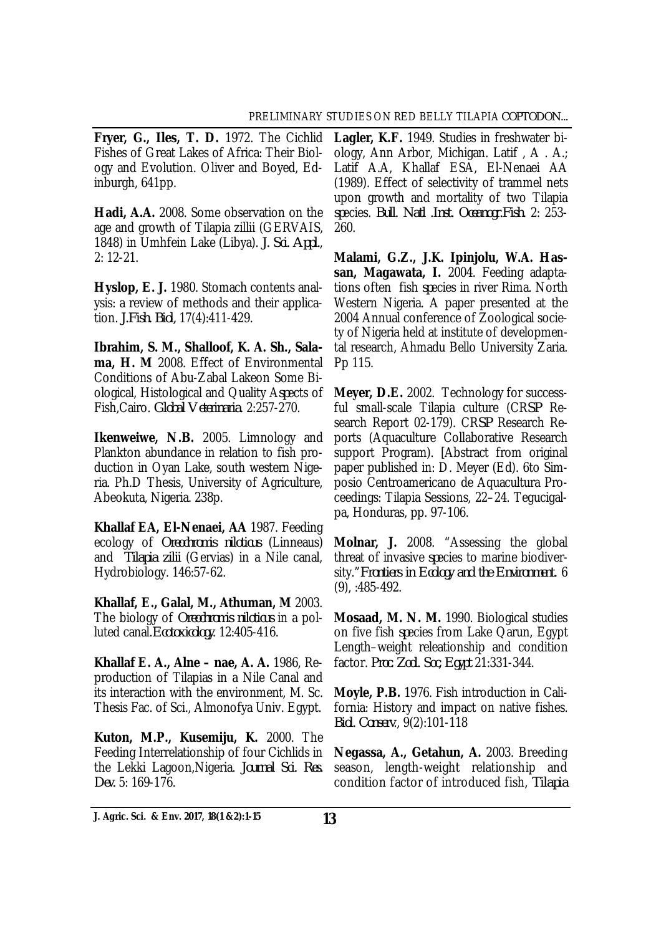**Fryer, G., Iles, T. D.** 1972. The Cichlid Fishes of Great Lakes of Africa: Their Biology and Evolution. Oliver and Boyed, Edinburgh, 641pp.

**Hadi, A.A.** 2008. Some observation on the age and growth of Tilapia zillii (GERVAIS, 1848) in Umhfein Lake (Libya). *J. Sci. Appl.*, 2: 12-21.

**Hyslop, E. J.** 1980. Stomach contents analysis: a review of methods and their application. *J.Fish. Biol,* 17(4):411-429.

**Ibrahim, S. M., Shalloof, K. A. Sh., Salama, H. M** 2008. Effect of Environmental Conditions of Abu-Zabal Lakeon Some Biological, Histological and Quality A*sp*ects of Fish,Cairo. *Global Veterinaria*. 2:257-270.

**Ikenweiwe, N.B.** 2005. Limnology and Plankton abundance in relation to fish production in Oyan Lake, south western Nigeria. Ph.D Thesis, University of Agriculture, Abeokuta, Nigeria. 238p.

**Khallaf EA, El-Nenaei, AA** 1987. Feeding ecology of *Oreochromis niloticus* (Linneaus) and *Tilapia zilii* (Gervias) in a Nile canal, Hydrobiology. 146:57-62.

**Khallaf, E., Galal, M., Athuman, M** 2003. The biology of *Oreochromis niloticus* in a polluted canal.*Ecotoxicology*. 12:405-416.

**Khallaf E. A., Alne – nae, A. A.** 1986, Reproduction of Tilapias in a Nile Canal and its interaction with the environment, M. Sc. Thesis Fac. of Sci., Almonofya Univ. Egypt.

**Kuton, M.P., Kusemiju, K.** 2000. The Feeding Interrelationship of four Cichlids in the Lekki Lagoon,Nigeria. *Journal Sci. Res. Dev.* 5: 169-176.

**Lagler, K.F.** 1949. Studies in freshwater biology, Ann Arbor, Michigan. Latif , A . A.; Latif A.A, Khallaf ESA, El-Nenaei AA (1989). Effect of selectivity of trammel nets upon growth and mortality of two Tilapia *sp*ecies. *Bull. Natl .Inst. Oceanogr.Fish.* 2: 253- 260.

**Malami, G.Z., J.K. Ipinjolu, W.A. Hassan, Magawata, I.** 2004. Feeding adaptations often fish *sp*ecies in river Rima. North Western Nigeria. A paper presented at the 2004 Annual conference of Zoological society of Nigeria held at institute of developmental research, Ahmadu Bello University Zaria. Pp 115.

**Meyer, D.E.** 2002. Technology for successful small-scale Tilapia culture (CR*SP* Research Report 02-179). CR*SP* Research Reports (Aquaculture Collaborative Research support Program). [Abstract from original paper published in: D. Meyer (Ed). 6to Simposio Centroamericano de Aquacultura Proceedings: Tilapia Sessions, 22–24. Tegucigalpa, Honduras, pp. 97-106.

**Molnar, J.** 2008. "Assessing the global threat of invasive *sp*ecies to marine biodiversity."*Frontiers in Ecology and the Environment.* 6 (9), :485-492.

**Mosaad, M. N. M.** 1990. Biological studies on five fish *sp*ecies from Lake Qarun, Egypt Length–weight releationship and condition factor. *Proc. Zool. Soc, Egypt* 21:331-344.

**Moyle, P.B.** 1976. Fish introduction in California: History and impact on native fishes. *Biol. Conserv*., 9(2):101-118

**Negassa, A., Getahun, A.** 2003. Breeding season, length-weight relationship and condition factor of introduced fish, *Tilapia* 

**13 J. Agric. Sci. & Env. 2017, 18(1 &2):1-15**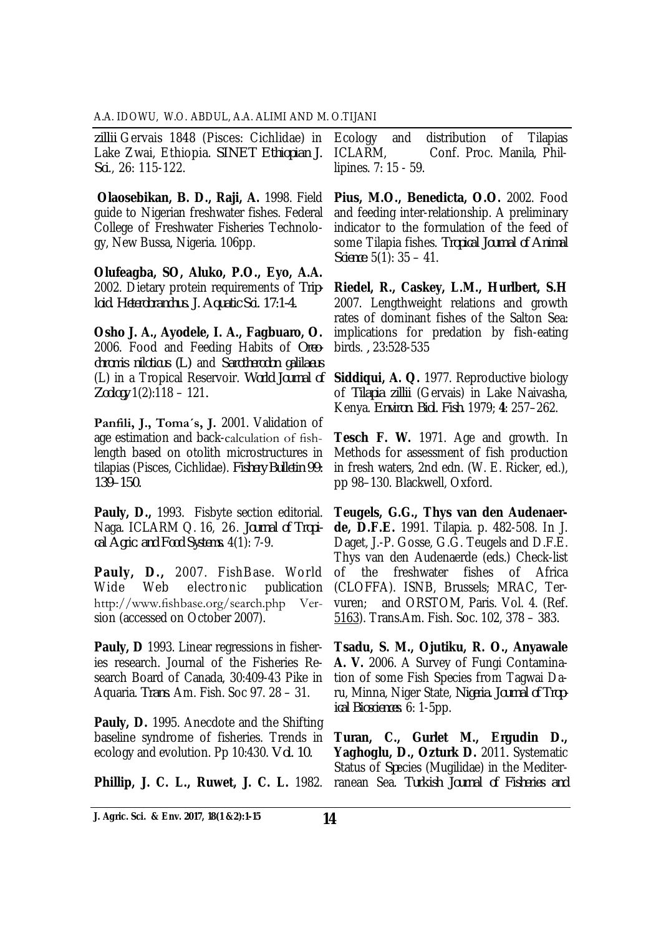*zillii* Gervais 1848 (Pisces: Cichlidae) in Lake Zwai, Ethiopia. *SINET Ethiopian J. Sci*., 26: 115-122.

**Olaosebikan, B. D., Raji, A.** 1998. Field guide to Nigerian freshwater fishes. Federal College of Freshwater Fisheries Technology, New Bussa, Nigeria. 106pp.

**Olufeagba, SO, Aluko, P.O., Eyo, A.A.**  2002. Dietary protein requirements of *Triploid. Heterobranchus. J. Aquatic Sci. 17:1-4.* 

**Osho J. A., Ayodele, I. A., Fagbuaro, O.**  2006. Food and Feeding Habits of *Oreochromis niloticus (L)* and *Sarotherodon galilaeus* (L) in a Tropical Reservoir. *World Journal of Zoology* 1(2):118 – 121*.*

**Panfili, J., Toma´s, J.** 2001. Validation of age estimation and back-calculation of fishlength based on otolith microstructures in tilapias (Pisces, Cichlidae). *Fishery Bulletin 99: 139–150.*

**Pauly, D.,** 1993. Fisbyte section editorial. Naga. ICLARM Q. 16, 26. *Journal of Tropical Agric. and Food Systems.* 4(1): 7-9.

**Pauly, D.,** 2007. FishBase. World Wide Web electronic publication http://www.fishbase.org/search.php Version (accessed on October 2007).

**Pauly, D** 1993. Linear regressions in fisheries research. Journal of the Fisheries Research Board of Canada, 30:409-43 Pike in Aquaria. *Trans*. Am. Fish. Soc 97. 28 – 31.

**Pauly, D.** 1995. Anecdote and the Shifting baseline syndrome of fisheries. Trends in ecology and evolution. Pp 10:430. *Vol. 10.* 

**Phillip, J. C. L., Ruwet, J. C. L.** 1982.

Ecology and distribution of Tilapias ICLARM, Conf. Proc. Manila, Phillipines. 7: 15 - 59.

**Pius, M.O., Benedicta, O.O.** 2002. Food and feeding inter-relationship. A preliminary indicator to the formulation of the feed of some Tilapia fishes. *Tropical Journal of Animal Science*. 5(1): 35 – 41.

**Riedel, R., Caskey, L.M., Hurlbert, S.H**  2007. Lengthweight relations and growth rates of dominant fishes of the Salton Sea: implications for predation by fish-eating birds. *,* 23:528-535

**Siddiqui, A. Q.** 1977. Reproductive biology of *Tilapia zillii* (Gervais) in Lake Naivasha, Kenya. *Environ. Biol. Fish.* 1979; **4**: 257–262.

**Tesch F. W.** 1971. Age and growth. In Methods for assessment of fish production in fresh waters, 2nd edn. (W. E. Ricker, ed.), pp 98–130. Blackwell, Oxford.

**Teugels, G.G., Thys van den Audenaerde, D.F.E.** 1991. Tilapia. p. 482-508. In J. Daget, J.-P. Gosse, G.G. Teugels and D.F.E. Thys van den Audenaerde (eds.) Check-list of the freshwater fishes of Africa (CLOFFA). ISNB, Brussels; MRAC, Tervuren; and ORSTOM, Paris. Vol. 4. (Ref. 5163). Trans.Am. Fish. Soc. 102, 378 – 383.

**Tsadu, S. M., Ojutiku, R. O., Anyawale A. V.** 2006. A Survey of Fungi Contamination of some Fish Species from Tagwai Daru, Minna, Niger State, *Nigeria. Journal of Tropical Biosciences*. 6: 1-5pp.

**Turan, C., Gurlet M., Ergudin D., Yaghoglu, D., Ozturk D.** 2011*.* Systematic Status of *Sp*ecies (Mugilidae) in the Mediterranean Sea. *Turkish Journal of Fisheries and*